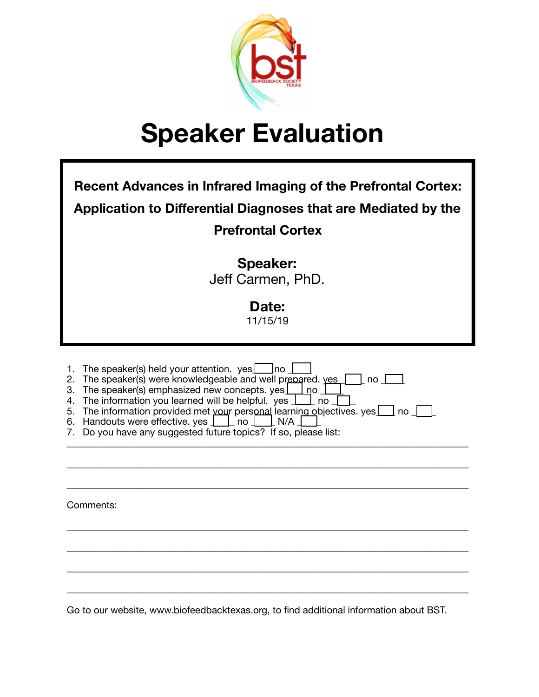

| <b>Recent Advances in Infrared Imaging of the Prefrontal Cortex:</b><br>Application to Differential Diagnoses that are Mediated by the<br><b>Prefrontal Cortex</b>                                                                                                                                                                                                                                                                                                                                        |
|-----------------------------------------------------------------------------------------------------------------------------------------------------------------------------------------------------------------------------------------------------------------------------------------------------------------------------------------------------------------------------------------------------------------------------------------------------------------------------------------------------------|
| Speaker:<br>Jeff Carmen, PhD.<br>Date:<br>11/15/19                                                                                                                                                                                                                                                                                                                                                                                                                                                        |
| The speaker(s) held your attention. $yes$   no<br>1.<br>The speaker(s) were knowledgeable and well prepared. yes<br>2.<br>  no<br>The speaker(s) emphasized new concepts. yes<br>」no<br>3.<br>The information you learned will be helpful. yes $\boxed{\phantom{a}}$ no<br>4.<br>The information provided met your personal learning objectives. yes $\Box$ no $\Box$<br>5.<br>Handouts were effective. yes       no  <br>N/A<br>6.<br>Do you have any suggested future topics? If so, please list:<br>7. |
| Comments:                                                                                                                                                                                                                                                                                                                                                                                                                                                                                                 |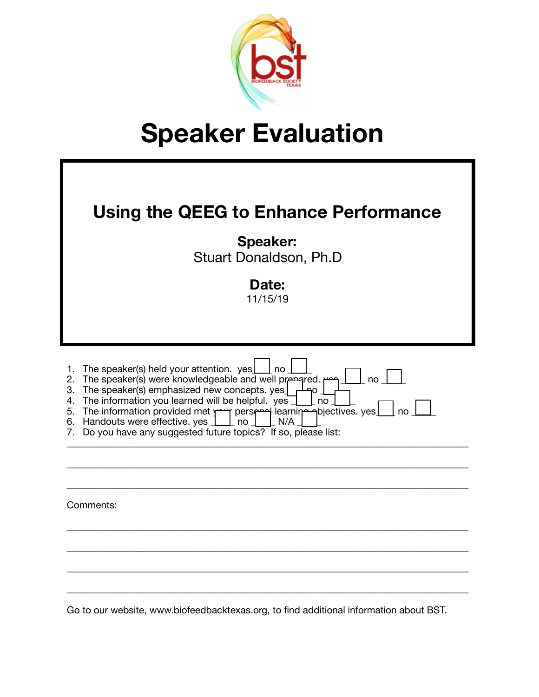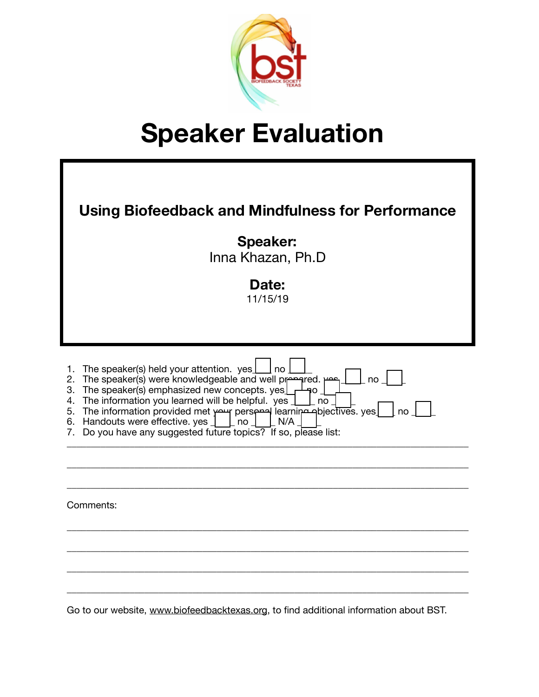

| <b>Using Biofeedback and Mindfulness for Performance</b><br><b>Speaker:</b><br>Inna Khazan, Ph.D<br>Date:<br>11/15/19                                                                                                                                                                                                                                                                                                                                              |
|--------------------------------------------------------------------------------------------------------------------------------------------------------------------------------------------------------------------------------------------------------------------------------------------------------------------------------------------------------------------------------------------------------------------------------------------------------------------|
|                                                                                                                                                                                                                                                                                                                                                                                                                                                                    |
| The speaker(s) held your attention. yes<br>1.<br>no<br>The speaker(s) were knowledgeable and well presented. Here<br>2.<br>no<br>The speaker(s) emphasized new concepts. yes<br>3.<br>۹O<br>The information you learned will be helpful. yes<br>no<br>4.<br>The information provided met your perspacification discribes. yes<br>5.<br>no<br>Handouts were effective. yes<br>no<br>N/A<br>6.<br>Do you have any suggested future topics? If so, please list:<br>7. |
|                                                                                                                                                                                                                                                                                                                                                                                                                                                                    |
| Comments:                                                                                                                                                                                                                                                                                                                                                                                                                                                          |
|                                                                                                                                                                                                                                                                                                                                                                                                                                                                    |
|                                                                                                                                                                                                                                                                                                                                                                                                                                                                    |
|                                                                                                                                                                                                                                                                                                                                                                                                                                                                    |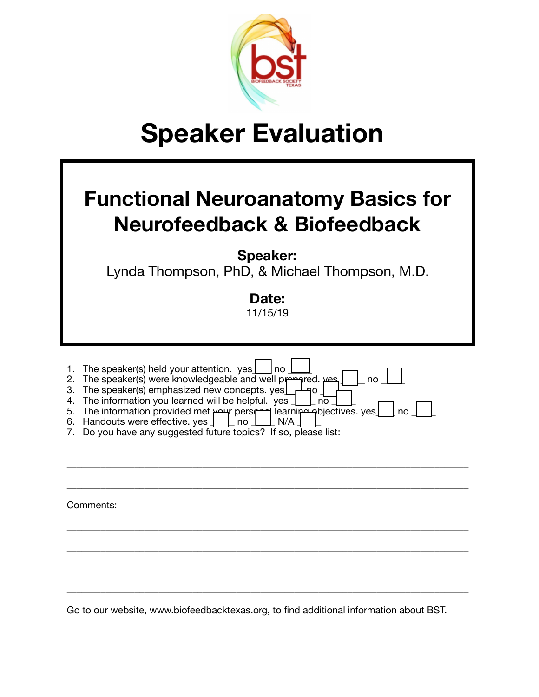

#### **Functional Neuroanatomy Basics for Neurofeedback & Biofeedback**

**Speaker:** 

Lynda Thompson, PhD, & Michael Thompson, M.D.

**Date:** 

11/15/19

| 1.<br>2.<br>3.<br>4.<br>5.<br>6.<br>7. | The speaker(s) held your attention. $yes$<br>no<br>The speaker(s) were knowledgeable and well presented. use<br>no<br>The speaker(s) emphasized new concepts. yes $\lfloor$<br>٩o<br>The information you learned will be helpful. yes<br>no<br>The information provided met persent learning poiectives. yes<br>no<br>Handouts were effective. yes $\vert \quad \vert$ no<br>N/A<br>Do you have any suggested future topics? If so, please list: |
|----------------------------------------|--------------------------------------------------------------------------------------------------------------------------------------------------------------------------------------------------------------------------------------------------------------------------------------------------------------------------------------------------------------------------------------------------------------------------------------------------|
|                                        | Comments:                                                                                                                                                                                                                                                                                                                                                                                                                                        |
|                                        |                                                                                                                                                                                                                                                                                                                                                                                                                                                  |
|                                        |                                                                                                                                                                                                                                                                                                                                                                                                                                                  |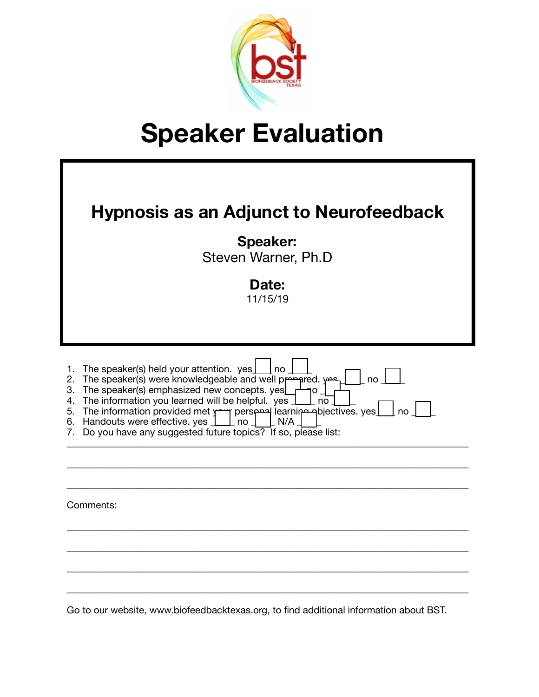

| <b>Hypnosis as an Adjunct to Neurofeedback</b><br><b>Speaker:</b><br>Steven Warner, Ph.D<br>Date:<br>11/15/19                                                                                                                                                                                                                                                                                                                                                         |
|-----------------------------------------------------------------------------------------------------------------------------------------------------------------------------------------------------------------------------------------------------------------------------------------------------------------------------------------------------------------------------------------------------------------------------------------------------------------------|
| The speaker(s) held your attention. yes<br>no<br>1.<br>The speaker(s) were knowledgeable and well prepared. yes<br>no<br>2.<br>The speaker(s) emphasized new concepts. yes<br>3.<br>١O<br>The information you learned will be helpful. yes<br>4.<br>no<br>The information provided met your persenced learning abjectives. yes<br> no <br>5.<br>Handouts were effective. yes<br>N/A<br>6.<br>no<br>Do you have any suggested future topics? If so, please list:<br>7. |
| Comments:                                                                                                                                                                                                                                                                                                                                                                                                                                                             |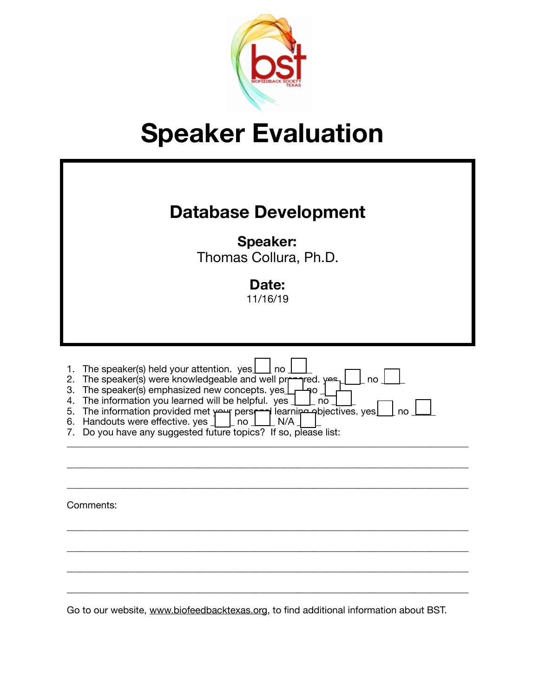

| <b>Database Development</b><br><b>Speaker:</b><br>Thomas Collura, Ph.D.<br>Date:<br>11/16/19                                                                                                                                                                                                                                                                                                                                                                                  |
|-------------------------------------------------------------------------------------------------------------------------------------------------------------------------------------------------------------------------------------------------------------------------------------------------------------------------------------------------------------------------------------------------------------------------------------------------------------------------------|
| The speaker(s) held your attention. yes<br>no<br>1.<br>The speaker(s) were knowledgeable and well prr<br>red. <del>יפ</del><br>2.<br>no<br>The speaker(s) emphasized new concepts. yes<br>3.<br>٦O<br>The information you learned will be helpful. yes<br>4.<br>no<br>The information provided met your persent learning apjectives. yes<br>no<br>5.<br>Handouts were effective. yes<br>N/A<br>6.<br>no<br>Do you have any suggested future topics? If so, please list:<br>7. |
| Comments:                                                                                                                                                                                                                                                                                                                                                                                                                                                                     |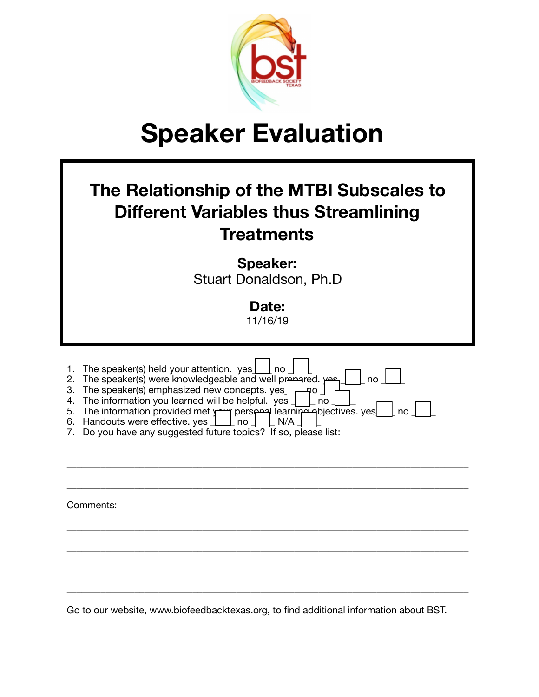

| The Relationship of the MTBI Subscales to<br><b>Different Variables thus Streamlining</b><br><b>Treatments</b>                                                                                                                                                                                                                                                                                                                                            |
|-----------------------------------------------------------------------------------------------------------------------------------------------------------------------------------------------------------------------------------------------------------------------------------------------------------------------------------------------------------------------------------------------------------------------------------------------------------|
| <b>Speaker:</b><br>Stuart Donaldson, Ph.D                                                                                                                                                                                                                                                                                                                                                                                                                 |
| Date:<br>11/16/19                                                                                                                                                                                                                                                                                                                                                                                                                                         |
| The speaker(s) held your attention. yes<br>1.<br>no<br>The speaker(s) were knowledgeable and well prepared.<br>no<br>2.<br>The speaker(s) emphasized new concepts. yes<br>3.<br>40<br>4. The information you learned will be helpful. yes<br>no<br>5. The information provided met yearly perspaced learning a bjectives. yes<br>no<br>6. Handouts were effective. yes<br>no<br>N/A<br>Do you have any suggested future topics? If so, please list:<br>7. |
| Comments:                                                                                                                                                                                                                                                                                                                                                                                                                                                 |
|                                                                                                                                                                                                                                                                                                                                                                                                                                                           |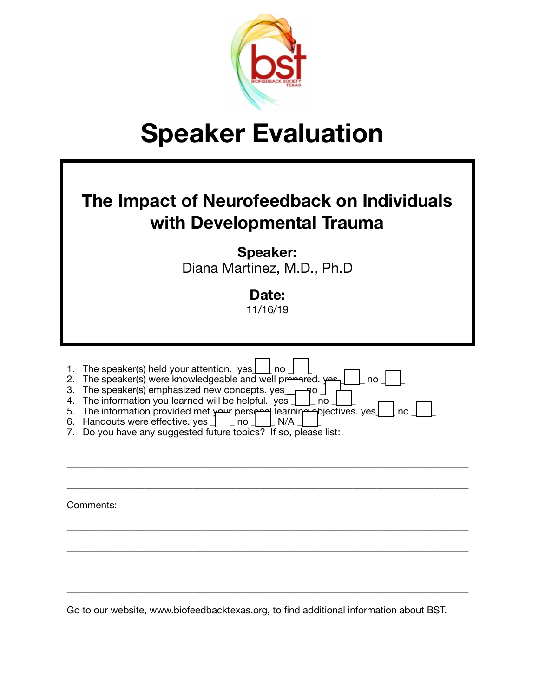

| The Impact of Neurofeedback on Individuals<br>with Developmental Trauma                                                                                                                                                                                                                                                                                                                                                                                           |
|-------------------------------------------------------------------------------------------------------------------------------------------------------------------------------------------------------------------------------------------------------------------------------------------------------------------------------------------------------------------------------------------------------------------------------------------------------------------|
| <b>Speaker:</b><br>Diana Martinez, M.D., Ph.D.                                                                                                                                                                                                                                                                                                                                                                                                                    |
| Date:<br>11/16/19                                                                                                                                                                                                                                                                                                                                                                                                                                                 |
| The speaker(s) held your attention. yes<br>1.<br>no<br>The speaker(s) were knowledgeable and well presented. Yes<br>no<br>2.<br>The speaker(s) emphasized new concepts. yes<br>3.<br>٦O<br>The information you learned will be helpful. yes<br>4.<br>no<br>The information provided met your persent learning piectives. yes<br>no<br>5.<br>Handouts were effective. yes<br>N/A<br>6.<br>no<br>Do you have any suggested future topics? If so, please list:<br>7. |
|                                                                                                                                                                                                                                                                                                                                                                                                                                                                   |
| Comments:                                                                                                                                                                                                                                                                                                                                                                                                                                                         |
|                                                                                                                                                                                                                                                                                                                                                                                                                                                                   |
|                                                                                                                                                                                                                                                                                                                                                                                                                                                                   |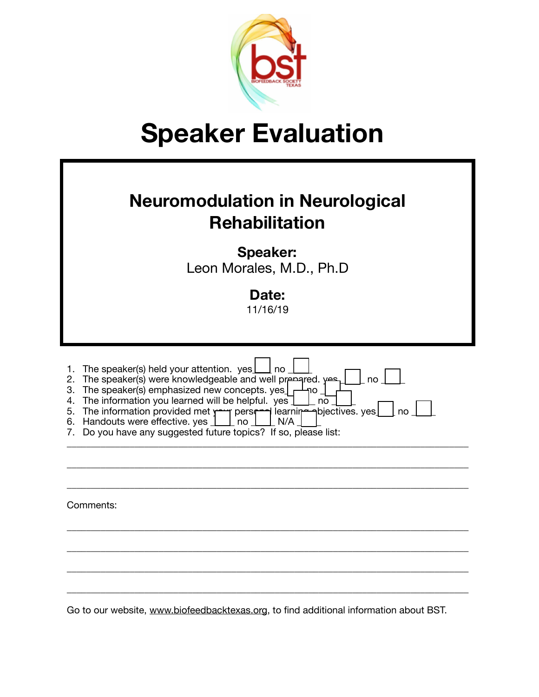

| <b>Neuromodulation in Neurological</b><br><b>Rehabilitation</b>                                                                                                                                                                                                                                                                                                                                                                                                        |
|------------------------------------------------------------------------------------------------------------------------------------------------------------------------------------------------------------------------------------------------------------------------------------------------------------------------------------------------------------------------------------------------------------------------------------------------------------------------|
| <b>Speaker:</b><br>Leon Morales, M.D., Ph.D                                                                                                                                                                                                                                                                                                                                                                                                                            |
| Date:<br>11/16/19                                                                                                                                                                                                                                                                                                                                                                                                                                                      |
| The speaker(s) held your attention. $yes \perp$<br>l no<br>1.<br>The speaker(s) were knowledgeable and well prepared. yes<br>no<br>2.<br>The speaker(s) emphasized new concepts. yes<br>3.<br>ነገ<br>The information you learned will be helpful. yes<br>4.<br>no<br>5. The information provided met year perseted learning objectives. yes<br>no<br>6. Handouts were effective. yes<br>N/A<br>no<br>Do you have any suggested future topics? If so, please list:<br>7. |
|                                                                                                                                                                                                                                                                                                                                                                                                                                                                        |
| Comments:                                                                                                                                                                                                                                                                                                                                                                                                                                                              |
|                                                                                                                                                                                                                                                                                                                                                                                                                                                                        |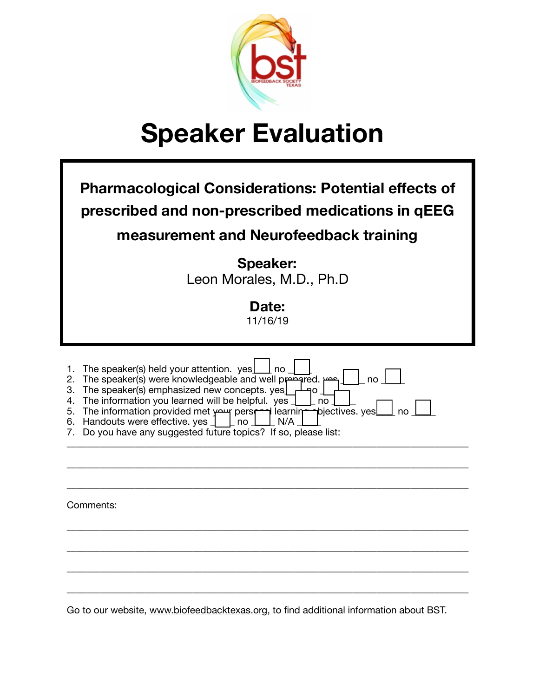

| <b>Pharmacological Considerations: Potential effects of</b><br>prescribed and non-prescribed medications in qEEG<br>measurement and Neurofeedback training                                                                                                                                                                                                                                                                                                       |
|------------------------------------------------------------------------------------------------------------------------------------------------------------------------------------------------------------------------------------------------------------------------------------------------------------------------------------------------------------------------------------------------------------------------------------------------------------------|
| <b>Speaker:</b><br>Leon Morales, M.D., Ph.D.                                                                                                                                                                                                                                                                                                                                                                                                                     |
| Date:<br>11/16/19                                                                                                                                                                                                                                                                                                                                                                                                                                                |
| The speaker(s) held your attention. yes<br>1.<br>no<br>The speaker(s) were knowledgeable and well prepared. Here<br>no<br>2.<br>The speaker(s) emphasized new concepts. yes<br>3.<br>90<br>The information you learned will be helpful. yes<br>4.<br>no<br>The information provided met your perset learning piectives. yes<br>no<br>5.<br>Handouts were effective. yes<br>no<br>N/A<br>6.<br>Do you have any suggested future topics? If so, please list:<br>7. |
| Comments:                                                                                                                                                                                                                                                                                                                                                                                                                                                        |
|                                                                                                                                                                                                                                                                                                                                                                                                                                                                  |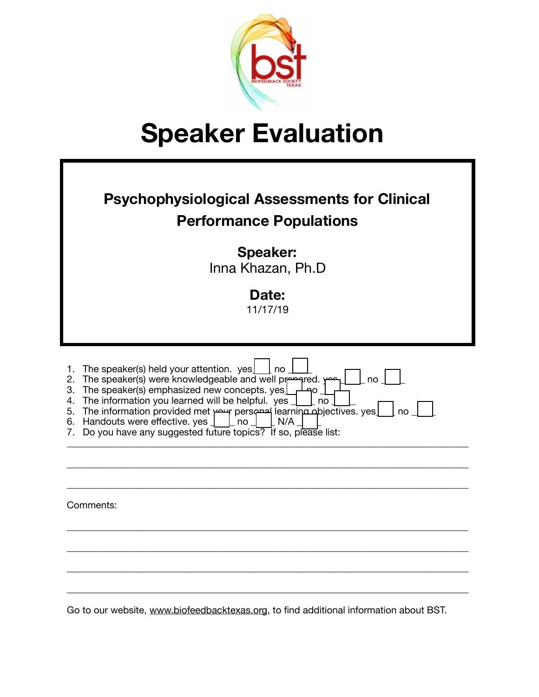

| <b>Psychophysiological Assessments for Clinical</b><br><b>Performance Populations</b><br><b>Speaker:</b><br>Inna Khazan, Ph.D<br>Date:<br>11/17/19                                                                                                                                                                                                                                                                                                              |
|-----------------------------------------------------------------------------------------------------------------------------------------------------------------------------------------------------------------------------------------------------------------------------------------------------------------------------------------------------------------------------------------------------------------------------------------------------------------|
| The speaker(s) held your attention. yes<br>1.<br>no<br>no<br>The speaker(s) were knowledgeable and well presented.<br>2.<br>The speaker(s) emphasized new concepts. yes<br>3.<br>٩O<br>The information you learned will be helpful. yes<br>4.<br>no<br>The information provided met your personal learning objectives. yes<br>5.<br>no<br>Handouts were effective. yes<br>N/A<br>6.<br>no<br>Do you have any suggested future topics? If so, please list:<br>7. |
| Comments:                                                                                                                                                                                                                                                                                                                                                                                                                                                       |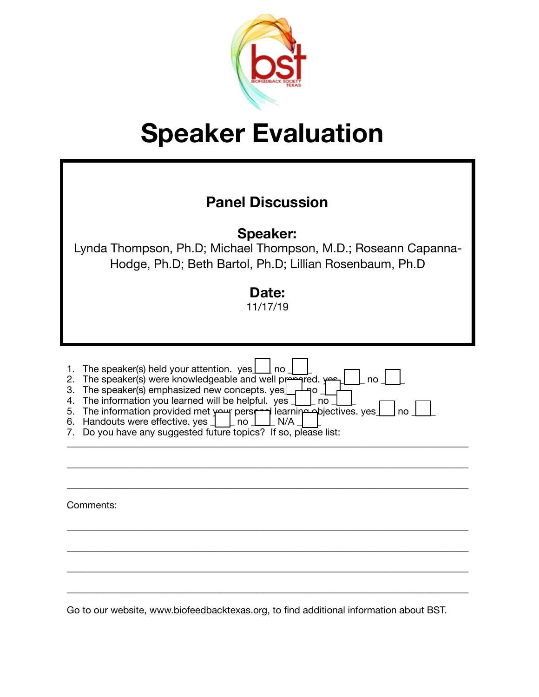

| <b>Panel Discussion</b><br><b>Speaker:</b><br>Lynda Thompson, Ph.D; Michael Thompson, M.D.; Roseann Capanna-<br>Hodge, Ph.D; Beth Bartol, Ph.D; Lillian Rosenbaum, Ph.D<br>Date:<br>11/17/19                                                                                                                                                                                                                                                                  |
|---------------------------------------------------------------------------------------------------------------------------------------------------------------------------------------------------------------------------------------------------------------------------------------------------------------------------------------------------------------------------------------------------------------------------------------------------------------|
| The speaker(s) held your attention. $yes$<br>1.<br>l no<br>rhe speaker(s) were knowledgeable and well presented.<br>no<br>2.<br>The speaker(s) emphasized new concepts. yes<br>3.<br>40<br>The information you learned will be helpful. yes<br>4.<br>no<br>5. The information provided met your persprop learning objectives. yes<br>no<br>6. Handouts were effective. yes<br>N/A<br>no<br>Do you have any suggested future topics? If so, please list:<br>7. |
| Comments:                                                                                                                                                                                                                                                                                                                                                                                                                                                     |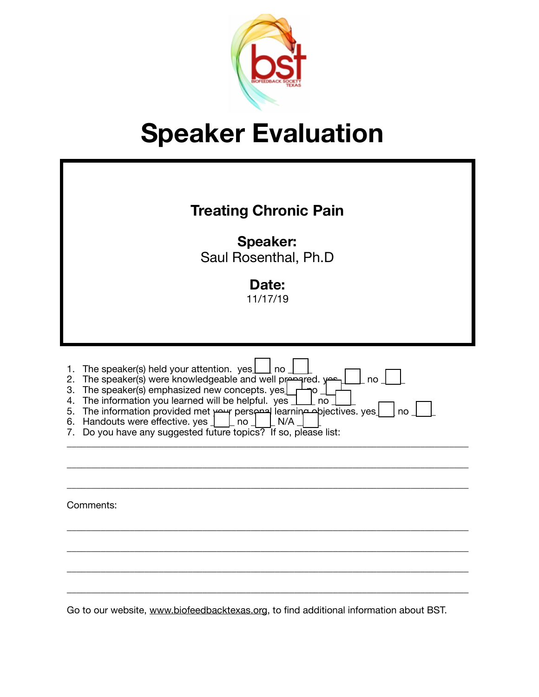

| <b>Treating Chronic Pain</b><br><b>Speaker:</b><br>Saul Rosenthal, Ph.D<br>Date:<br>11/17/19                                                                                                                                                                                                                                                                                                                                                                        |
|---------------------------------------------------------------------------------------------------------------------------------------------------------------------------------------------------------------------------------------------------------------------------------------------------------------------------------------------------------------------------------------------------------------------------------------------------------------------|
| The speaker(s) held your attention. yes<br>  no<br>1.<br>The speaker(s) were knowledgeable and well prepared. yes<br>no<br>2.<br>The speaker(s) emphasized new concepts. yes<br>3.<br>Ю<br>The information you learned will be helpful. yes<br>4.<br>no<br>The information provided met your personal learning opjectives. yes<br>5.<br>no<br>Handouts were effective. yes<br>N/A<br>6.<br>no<br>Do you have any suggested future topics? If so, please list:<br>7. |
| Comments:                                                                                                                                                                                                                                                                                                                                                                                                                                                           |